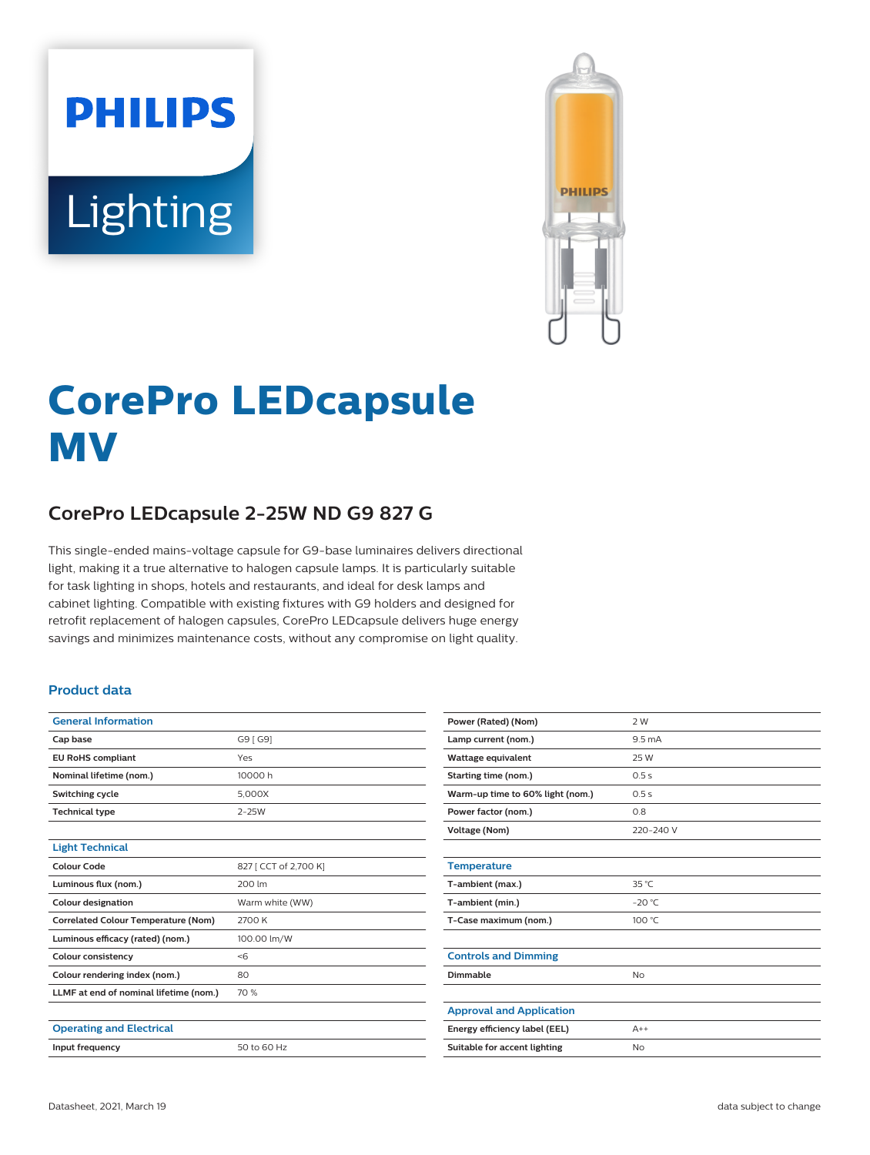# **PHILIPS** Lighting



# **CorePro LEDcapsule MV**

# **CorePro LEDcapsule 2-25W ND G9 827 G**

This single-ended mains-voltage capsule for G9-base luminaires delivers directional light, making it a true alternative to halogen capsule lamps. It is particularly suitable for task lighting in shops, hotels and restaurants, and ideal for desk lamps and cabinet lighting. Compatible with existing fixtures with G9 holders and designed for retrofit replacement of halogen capsules, CorePro LEDcapsule delivers huge energy savings and minimizes maintenance costs, without any compromise on light quality.

#### **Product data**

| <b>General Information</b>                 |                       |
|--------------------------------------------|-----------------------|
| Cap base                                   | G9 [ G9]              |
| <b>EU RoHS compliant</b>                   | Yes                   |
| Nominal lifetime (nom.)                    | 10000 h               |
| Switching cycle                            | 5.000X                |
| <b>Technical type</b>                      | $2 - 25W$             |
|                                            |                       |
| <b>Light Technical</b>                     |                       |
| Colour Code                                | 827 [ CCT of 2,700 K] |
| Luminous flux (nom.)                       | 200 lm                |
| <b>Colour designation</b>                  | Warm white (WW)       |
| <b>Correlated Colour Temperature (Nom)</b> | 2700 K                |
| Luminous efficacy (rated) (nom.)           | 100.00 lm/W           |
| <b>Colour consistency</b>                  | < 6                   |
| Colour rendering index (nom.)              | 80                    |
| LLMF at end of nominal lifetime (nom.)     | 70 %                  |
|                                            |                       |
| <b>Operating and Electrical</b>            |                       |
| Input frequency                            | 50 to 60 Hz           |
|                                            |                       |

| Power (Rated) (Nom)              | 2 W               |
|----------------------------------|-------------------|
| Lamp current (nom.)              | 9.5 <sub>mA</sub> |
| Wattage equivalent               | 25 W              |
| Starting time (nom.)             | 0.5s              |
| Warm-up time to 60% light (nom.) | 0.5s              |
| Power factor (nom.)              | 0.8               |
| <b>Voltage (Nom)</b>             | 220-240 V         |
|                                  |                   |
| <b>Temperature</b>               |                   |
| T-ambient (max.)                 | $35^{\circ}$ C    |
| T-ambient (min.)                 | $-20 °C$          |
| T-Case maximum (nom.)            | 100 °C            |
|                                  |                   |
| <b>Controls and Dimming</b>      |                   |
| Dimmable                         | <b>No</b>         |
|                                  |                   |
| <b>Approval and Application</b>  |                   |
| Energy efficiency label (EEL)    | $A++$             |
| Suitable for accent lighting     | No                |
|                                  |                   |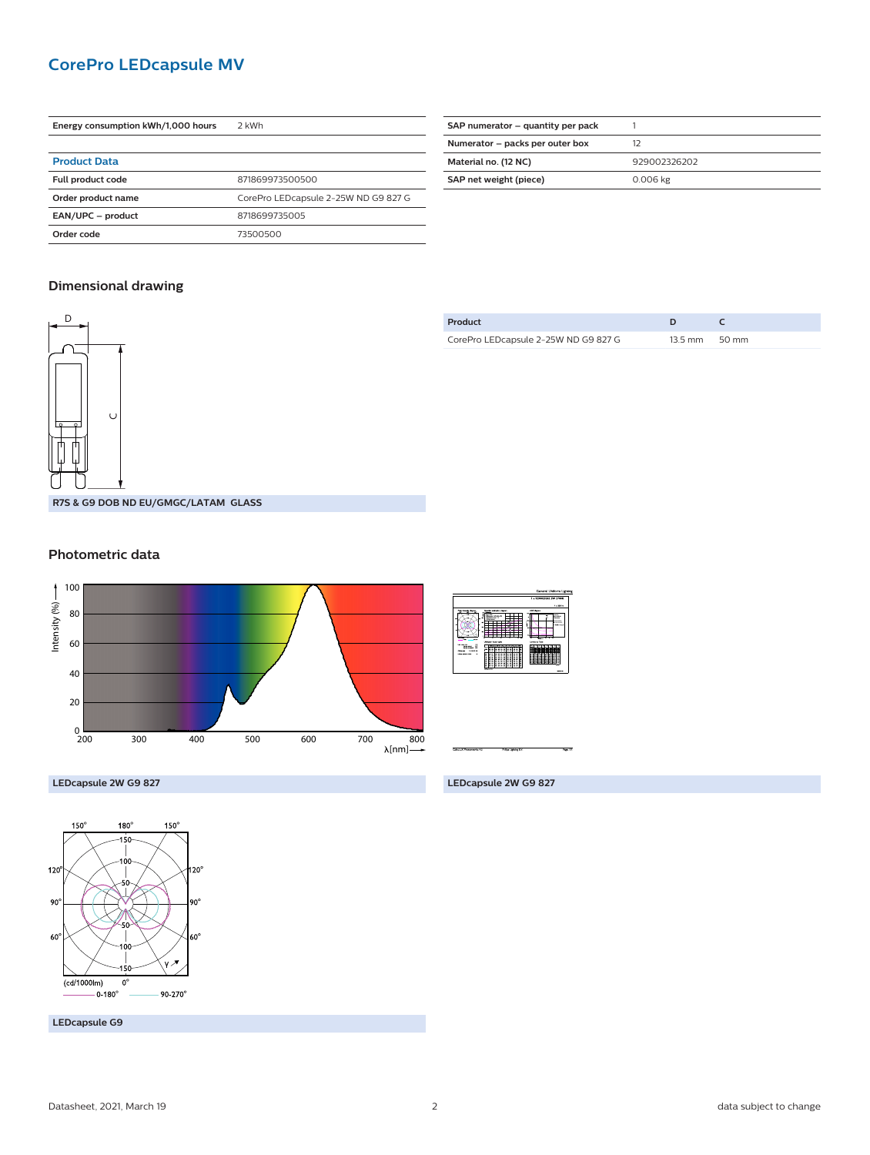### **CorePro LEDcapsule MV**

| Energy consumption kWh/1,000 hours | 2 kWh                                |  |
|------------------------------------|--------------------------------------|--|
|                                    |                                      |  |
| <b>Product Data</b>                |                                      |  |
| Full product code                  | 871869973500500                      |  |
| Order product name                 | CorePro LEDcapsule 2-25W ND G9 827 G |  |
| EAN/UPC - product                  | 8718699735005                        |  |
| Order code                         | 73500500                             |  |

| SAP numerator – quantity per pack |              |
|-----------------------------------|--------------|
| Numerator - packs per outer box   | 12           |
| Material no. (12 NC)              | 929002326202 |
| SAP net weight (piece)            | 0.006 kg     |
|                                   |              |

#### **Dimensional drawing**



| Product                              |                         |  |
|--------------------------------------|-------------------------|--|
| CorePro LEDcapsule 2-25W ND G9 827 G | $13.5 \text{ mm}$ 50 mm |  |

**Photometric data**





**LEDcapsule 2W G9 827**



**LEDcapsule G9**

**LEDcapsule 2W G9 827**